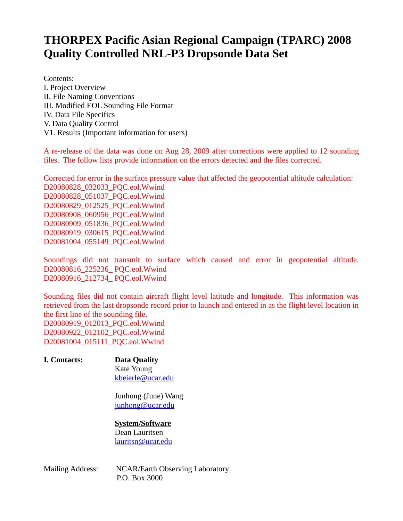## **THORPEX Pacific Asian Regional Campaign (TPARC) 2008 Quality Controlled NRL-P3 Dropsonde Data Set**

Contents: I. Project Overview II. File Naming Conventions III. Modified EOL Sounding File Format IV. Data File Specifics V. Data Quality Control V1. Results (Important information for users)

A re-release of the data was done on Aug 28, 2009 after corrections were applied to 12 sounding files. The follow lists provide information on the errors detected and the files corrected.

Corrected for error in the surface pressure value that affected the geopotential altitude calculation: D20080828\_032033\_PQC.eol.Wwind D20080828\_051037\_PQC.eol.Wwind D20080829\_012525\_PQC.eol.Wwind D20080908\_060956\_PQC.eol.Wwind D20080909\_051836\_PQC.eol.Wwind D20080919\_030615\_PQC.eol.Wwind D20081004\_055149\_PQC.eol.Wwind

Soundings did not transmit to surface which caused and error in geopotential altitude. D20080816\_225236\_ PQC.eol.Wwind D20080916\_212734\_ PQC.eol.Wwind

Sounding files did not contain aircraft flight level latitude and longitude. This information was retrieved from the last dropsonde record prior to launch and entered in as the flight level location in the first line of the sounding file. D20080919\_012013\_PQC.eol.Wwind D20080922\_012102\_PQC.eol.Wwind D20081004\_015111\_PQC.eol.Wwind

#### **I. Contacts: Data Quality**  Kate Young [kbeierle@ucar.edu](mailto:kbeierle@ucar.edu)

Junhong (June) Wang [junhong@ucar.edu](mailto:junhong@ucar.edu)

#### **System/Software** Dean Lauritsen

[lauritsn@ucar.edu](file:///net/archive/data/tparc/aircraft/NRL_P3/lauritsn@ucar.edu)

Mailing Address: NCAR/Earth Observing Laboratory P.O. Box 3000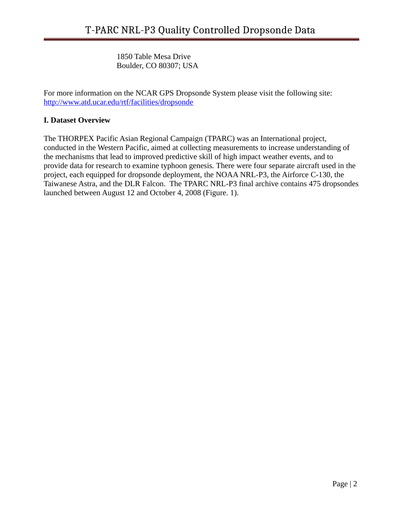1850 Table Mesa Drive Boulder, CO 80307; USA

For more information on the NCAR GPS Dropsonde System please visit the following site: <http://www.atd.ucar.edu/rtf/facilities/dropsonde>

### **I. Dataset Overview**

The THORPEX Pacific Asian Regional Campaign (TPARC) was an International project, conducted in the Western Pacific, aimed at collecting measurements to increase understanding of the mechanisms that lead to improved predictive skill of high impact weather events, and to provide data for research to examine typhoon genesis*.* There were four separate aircraft used in the project, each equipped for dropsonde deployment, the NOAA NRL-P3, the Airforce C-130, the Taiwanese Astra, and the DLR Falcon. The TPARC NRL-P3 final archive contains 475 dropsondes launched between August 12 and October 4, 2008 (Figure. 1).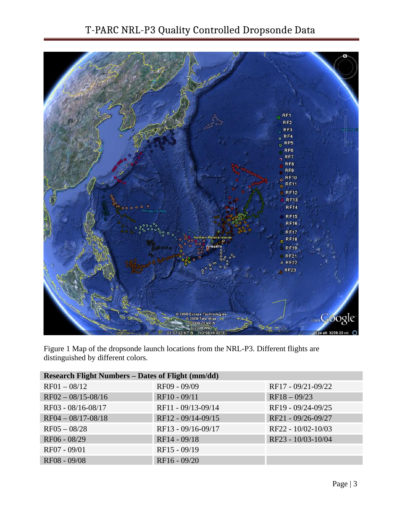## T-PARC NRL-P3 Quality Controlled Dropsonde Data



Figure 1 Map of the dropsonde launch locations from the NRL-P3. Different flights are distinguished by different colors.

| Research Flight Numbers - Dates of Flight (mm/dd) |                    |                    |
|---------------------------------------------------|--------------------|--------------------|
| $RF01 - 08/12$                                    | RF09 - 09/09       | RF17 - 09/21-09/22 |
| $RF02 - 08/15 - 08/16$                            | RF10 - 09/11       | $RF18 - 09/23$     |
| RF03 - 08/16-08/17                                | RF11 - 09/13-09/14 | RF19 - 09/24-09/25 |
| $RF04 - 08/17 - 08/18$                            | RF12 - 09/14-09/15 | RF21 - 09/26-09/27 |
| $RF05 - 08/28$                                    | RF13 - 09/16-09/17 | RF22 - 10/02-10/03 |
| RF06 - 08/29                                      | RF14 - 09/18       | RF23 - 10/03-10/04 |
| RF07 - 09/01                                      | RF15 - 09/19       |                    |
| RF08 - 09/08                                      | RF16 - 09/20       |                    |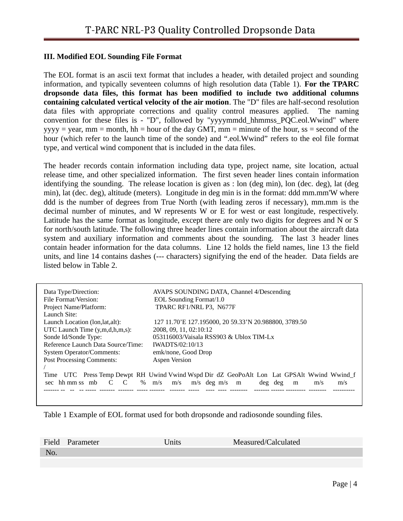#### **III. Modified EOL Sounding File Format**

The EOL format is an ascii text format that includes a header, with detailed project and sounding information, and typically seventeen columns of high resolution data (Table 1). **For the TPARC dropsonde data files, this format has been modified to include two additional columns containing calculated vertical velocity of the air motion**. The "D" files are half-second resolution data files with appropriate corrections and quality control measures applied. The naming convention for these files is - "D", followed by "yyyymmdd\_hhmmss\_PQC.eol.Wwind" where  $yyyy = year$ , mm = month, hh = hour of the day GMT, mm = minute of the hour, ss = second of the hour (which refer to the launch time of the sonde) and ".eol.Wwind" refers to the eol file format type, and vertical wind component that is included in the data files.

The header records contain information including data type, project name, site location, actual release time, and other specialized information. The first seven header lines contain information identifying the sounding. The release location is given as : lon (deg min), lon (dec. deg), lat (deg min), lat (dec. deg), altitude (meters). Longitude in deg min is in the format: ddd mm.mm'W where ddd is the number of degrees from True North (with leading zeros if necessary), mm.mm is the decimal number of minutes, and W represents W or E for west or east longitude, respectively. Latitude has the same format as longitude, except there are only two digits for degrees and N or S for north/south latitude. The following three header lines contain information about the aircraft data system and auxiliary information and comments about the sounding. The last 3 header lines contain header information for the data columns. Line 12 holds the field names, line 13 the field units, and line 14 contains dashes (--- characters) signifying the end of the header. Data fields are listed below in Table 2.

| EOL Sounding Format/1.0                                                                  |  |
|------------------------------------------------------------------------------------------|--|
| TPARC RF1/NRL P3, N677F                                                                  |  |
|                                                                                          |  |
| 127 11.70'E 127.195000, 20 59.33'N 20.988800, 3789.50                                    |  |
| 2008, 09, 11, 02:10:12                                                                   |  |
| 053116003/Vaisala RSS903 & Ublox TIM-Lx                                                  |  |
| IWADTS/02:10/13                                                                          |  |
| emk/none, Good Drop                                                                      |  |
|                                                                                          |  |
|                                                                                          |  |
| Time UTC Press Temp Dewpt RH Uwind Vwind Wspd Dir dZ GeoPoAlt Lon Lat GPSAlt Wwind Wwind |  |
| sec hh mm ss mb C C % m/s m/s m/s deg m/s m<br>deg deg<br>m/s<br>m/s<br>m                |  |
|                                                                                          |  |
|                                                                                          |  |

Table 1 Example of EOL format used for both dropsonde and radiosonde sounding files.

| Field | Parameter | <b>Inits</b> | Measured/Calculated |
|-------|-----------|--------------|---------------------|
| No    |           |              |                     |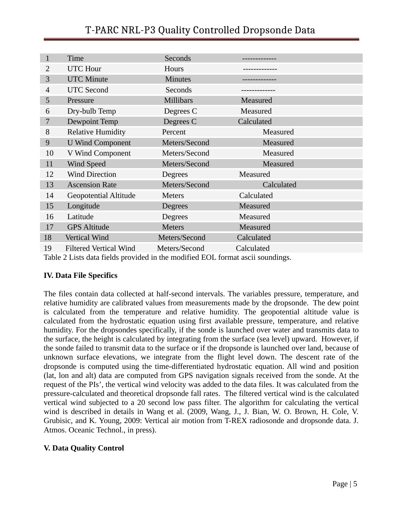|                | <b>Time</b>                   | <b>Seconds</b>   |            |  |
|----------------|-------------------------------|------------------|------------|--|
| $\overline{2}$ | <b>UTC Hour</b>               | Hours            |            |  |
| 3              | <b>UTC Minute</b>             | <b>Minutes</b>   |            |  |
| $\overline{4}$ | <b>UTC Second</b>             | <b>Seconds</b>   |            |  |
| 5              | Pressure                      | <b>Millibars</b> | Measured   |  |
| 6              | Dry-bulb Temp                 | Degrees C        | Measured   |  |
| 7              | Dewpoint Temp                 | Degrees C        | Calculated |  |
| 8              | <b>Relative Humidity</b>      | Percent          | Measured   |  |
| 9              | <b>U Wind Component</b>       | Meters/Second    | Measured   |  |
| 10             | V Wind Component              | Meters/Second    | Measured   |  |
| 11             | <b>Wind Speed</b>             | Meters/Second    | Measured   |  |
| 12             | <b>Wind Direction</b>         | <b>Degrees</b>   | Measured   |  |
| 13             | <b>Ascension Rate</b>         | Meters/Second    | Calculated |  |
| 14             | <b>Geopotential Altitude</b>  | <b>Meters</b>    | Calculated |  |
| 15             | Longitude                     | <b>Degrees</b>   | Measured   |  |
| 16             | Latitude                      | Degrees          | Measured   |  |
| 17             | <b>GPS</b> Altitude           | <b>Meters</b>    | Measured   |  |
| 18             | Vertical Wind                 | Meters/Second    | Calculated |  |
| 19             | <b>Filtered Vertical Wind</b> | Meters/Second    | Calculated |  |

Table 2 Lists data fields provided in the modified EOL format ascii soundings.

#### **IV. Data File Specifics**

The files contain data collected at half-second intervals. The variables pressure, temperature, and relative humidity are calibrated values from measurements made by the dropsonde. The dew point is calculated from the temperature and relative humidity. The geopotential altitude value is calculated from the hydrostatic equation using first available pressure, temperature, and relative humidity. For the dropsondes specifically, if the sonde is launched over water and transmits data to the surface, the height is calculated by integrating from the surface (sea level) upward. However, if the sonde failed to transmit data to the surface or if the dropsonde is launched over land, because of unknown surface elevations, we integrate from the flight level down. The descent rate of the dropsonde is computed using the time-differentiated hydrostatic equation. All wind and position (lat, lon and alt) data are computed from GPS navigation signals received from the sonde. At the request of the PIs', the vertical wind velocity was added to the data files. It was calculated from the pressure-calculated and theoretical dropsonde fall rates. The filtered vertical wind is the calculated vertical wind subjected to a 20 second low pass filter. The algorithm for calculating the vertical wind is described in details in Wang et al. (2009, Wang, J., J. Bian, W. O. Brown, H. Cole, V. Grubisic, and K. Young, 2009: Vertical air motion from T-REX radiosonde and dropsonde data. J. Atmos. Oceanic Technol., in press).

#### **V. Data Quality Control**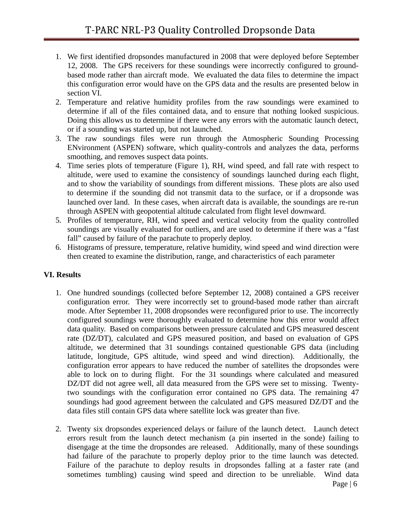- 1. We first identified dropsondes manufactured in 2008 that were deployed before September 12, 2008. The GPS receivers for these soundings were incorrectly configured to groundbased mode rather than aircraft mode. We evaluated the data files to determine the impact this configuration error would have on the GPS data and the results are presented below in section VI.
- 2. Temperature and relative humidity profiles from the raw soundings were examined to determine if all of the files contained data, and to ensure that nothing looked suspicious. Doing this allows us to determine if there were any errors with the automatic launch detect, or if a sounding was started up, but not launched.
- 3. The raw soundings files were run through the Atmospheric Sounding Processing ENvironment (ASPEN) software, which quality-controls and analyzes the data, performs smoothing, and removes suspect data points.
- 4. Time series plots of temperature (Figure 1), RH, wind speed, and fall rate with respect to altitude, were used to examine the consistency of soundings launched during each flight, and to show the variability of soundings from different missions. These plots are also used to determine if the sounding did not transmit data to the surface, or if a dropsonde was launched over land. In these cases, when aircraft data is available, the soundings are re-run through ASPEN with geopotential altitude calculated from flight level downward.
- 5. Profiles of temperature, RH, wind speed and vertical velocity from the quality controlled soundings are visually evaluated for outliers, and are used to determine if there was a "fast fall" caused by failure of the parachute to properly deploy.
- 6. Histograms of pressure, temperature, relative humidity, wind speed and wind direction were then created to examine the distribution, range, and characteristics of each parameter

#### **VI. Results**

- 1. One hundred soundings (collected before September 12, 2008) contained a GPS receiver configuration error. They were incorrectly set to ground-based mode rather than aircraft mode. After September 11, 2008 dropsondes were reconfigured prior to use. The incorrectly configured soundings were thoroughly evaluated to determine how this error would affect data quality. Based on comparisons between pressure calculated and GPS measured descent rate (DZ/DT), calculated and GPS measured position, and based on evaluation of GPS altitude, we determined that 31 soundings contained questionable GPS data (including latitude, longitude, GPS altitude, wind speed and wind direction). Additionally, the configuration error appears to have reduced the number of satellites the dropsondes were able to lock on to during flight. For the 31 soundings where calculated and measured DZ/DT did not agree well, all data measured from the GPS were set to missing. Twentytwo soundings with the configuration error contained no GPS data. The remaining 47 soundings had good agreement between the calculated and GPS measured DZ/DT and the data files still contain GPS data where satellite lock was greater than five.
- 2. Twenty six dropsondes experienced delays or failure of the launch detect. Launch detect errors result from the launch detect mechanism (a pin inserted in the sonde) failing to disengage at the time the dropsondes are released. Additionally, many of these soundings had failure of the parachute to properly deploy prior to the time launch was detected. Failure of the parachute to deploy results in dropsondes falling at a faster rate (and sometimes tumbling) causing wind speed and direction to be unreliable. Wind data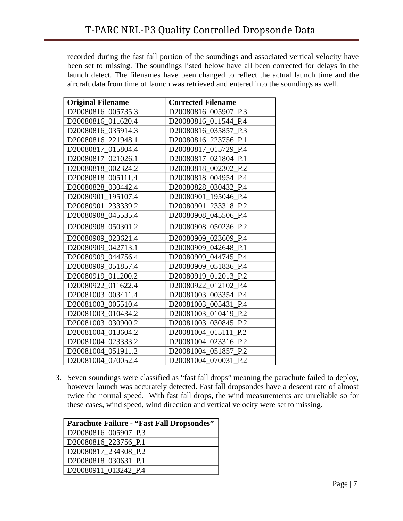recorded during the fast fall portion of the soundings and associated vertical velocity have been set to missing. The soundings listed below have all been corrected for delays in the launch detect. The filenames have been changed to reflect the actual launch time and the aircraft data from time of launch was retrieved and entered into the soundings as well.

| <b>Original Filename</b> | <b>Corrected Filename</b> |
|--------------------------|---------------------------|
| D20080816_005735.3       | D20080816_005907_P.3      |
| D20080816 011620.4       | D20080816 011544 P.4      |
| D20080816 035914.3       | D20080816 035857 P.3      |
| D20080816_221948.1       | D20080816_223756_P.1      |
| D20080817 015804.4       | D20080817 015729 P.4      |
| D20080817 021026.1       | D20080817 021804 P.1      |
| D20080818 002324.2       | D20080818 002302 P.2      |
| D20080818 005111.4       | D20080818 004954 P.4      |
| D20080828_030442.4       | D20080828 030432 P.4      |
| D20080901 195107.4       | D20080901 195046 P.4      |
| D20080901 233339.2       | D20080901 233318 P.2      |
| D20080908_045535.4       | D20080908_045506_P.4      |
| D20080908_050301.2       | D20080908_050236_P.2      |
| D20080909_023621.4       | D20080909_023609_P.4      |
| D20080909_042713.1       | D20080909 042648 P.1      |
| D20080909_044756.4       | D20080909 044745 P.4      |
| D20080909_051857.4       | D20080909 051836 P.4      |
| D20080919_011200.2       | D20080919 012013 P.2      |
| D20080922 011622.4       | D20080922 012102 P.4      |
| D20081003 003411.4       | D20081003 003354 P.4      |
| D20081003 005510.4       | D20081003_005431_P.4      |
| D20081003 010434.2       | D20081003 010419 P.2      |
| D20081003 030900.2       | D20081003 030845 P.2      |
| D20081004 013604.2       | D20081004 015111 P.2      |
| D20081004 023333.2       | D20081004 023316 P.2      |
| D20081004 051911.2       | D20081004 051857 P.2      |
| D20081004 070052.4       | D20081004 070031 P.2      |

3. Seven soundings were classified as "fast fall drops" meaning the parachute failed to deploy, however launch was accurately detected. Fast fall dropsondes have a descent rate of almost twice the normal speed. With fast fall drops, the wind measurements are unreliable so for these cases, wind speed, wind direction and vertical velocity were set to missing.

| <b>Parachute Failure - "Fast Fall Dropsondes"</b> |
|---------------------------------------------------|
| D20080816_005907_P.3                              |
| D20080816 223756 P.1                              |
| D20080817 234308 P.2                              |
| D20080818 030631 P.1                              |
| D20080911 013242 P.4                              |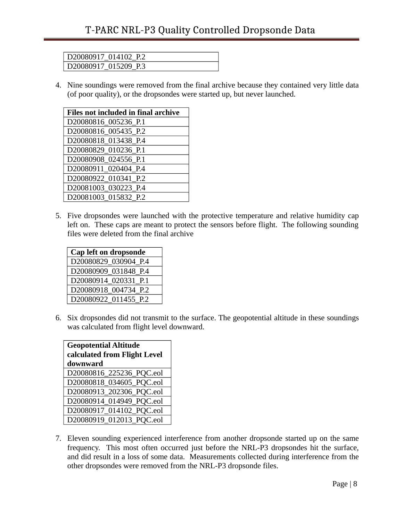| D20080917 014102 P.2 |  |
|----------------------|--|
| D20080917_015209_P.3 |  |

4. Nine soundings were removed from the final archive because they contained very little data (of poor quality), or the dropsondes were started up, but never launched.

| Files not included in final archive |
|-------------------------------------|
| D20080816_005236_P.1                |
| D20080816_005435_P.2                |
| D20080818_013438_P.4                |
| D20080829 010236 P.1                |
| D20080908_024556_P.1                |
| D20080911_020404_P.4                |
| D20080922_010341_P.2                |
| D20081003_030223_P.4                |
| D20081003 015832 P.2                |

5. Five dropsondes were launched with the protective temperature and relative humidity cap left on. These caps are meant to protect the sensors before flight. The following sounding files were deleted from the final archive

| Cap left on dropsonde |
|-----------------------|
| D20080829 030904 P.4  |
| D20080909 031848 P.4  |
| D20080914 020331 P.1  |
| D20080918 004734 P.2  |
| D20080922 011455 P.2  |

6. Six dropsondes did not transmit to the surface. The geopotential altitude in these soundings was calculated from flight level downward.

| <b>Geopotential Altitude</b><br>calculated from Flight Level<br>downward |
|--------------------------------------------------------------------------|
| D20080816_225236_PQC.eol                                                 |
| D20080818_034605_PQC.eol                                                 |
| D20080913_202306_PQC.eol                                                 |
| D20080914_014949_PQC.eol                                                 |
| D20080917_014102_PQC.eol                                                 |
| D20080919_012013_PQC.eol                                                 |

7. Eleven sounding experienced interference from another dropsonde started up on the same frequency. This most often occurred just before the NRL-P3 dropsondes hit the surface, and did result in a loss of some data. Measurements collected during interference from the other dropsondes were removed from the NRL-P3 dropsonde files.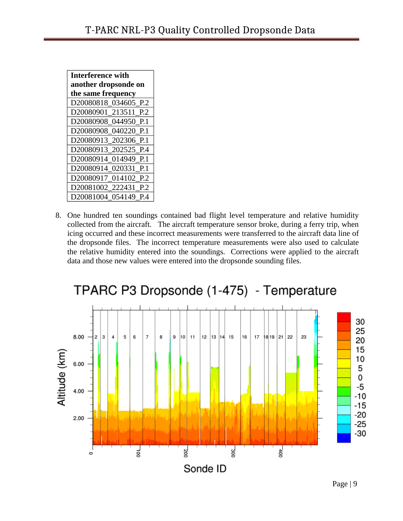| <b>Interference with</b> |  |
|--------------------------|--|
| another dropsonde on     |  |
| the same frequency       |  |
| D20080818 034605 P.2     |  |
| D20080901 213511 P.2     |  |
| D20080908 044950 P.1     |  |
| D20080908 040220 P.1     |  |
| D20080913 202306 P.1     |  |
| D20080913 202525 P.4     |  |
| D20080914 014949 P.1     |  |
| D20080914 020331 P.1     |  |
| D20080917 014102 P.2     |  |
| D20081002 222431 P.2     |  |
| D20081004 054149 P.4     |  |

8. One hundred ten soundings contained bad flight level temperature and relative humidity collected from the aircraft. The aircraft temperature sensor broke, during a ferry trip, when icing occurred and these incorrect measurements were transferred to the aircraft data line of the dropsonde files. The incorrect temperature measurements were also used to calculate the relative humidity entered into the soundings. Corrections were applied to the aircraft data and those new values were entered into the dropsonde sounding files.



# TPARC P3 Dropsonde (1-475) - Temperature